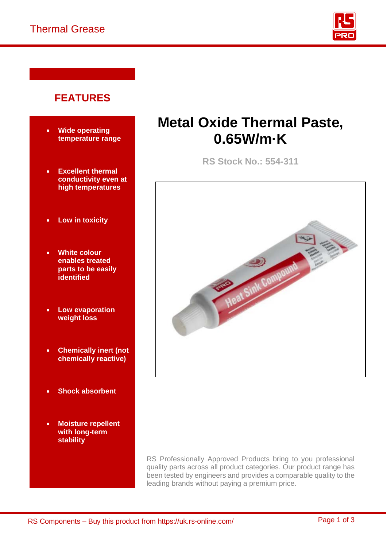

# **FEATURES**

- **Wide operating temperature range**
- **Excellent thermal conductivity even at high temperatures**
- **Low in toxicity**
- **White colour enables treated parts to be easily identified**
- **Low evaporation weight loss**
- **Chemically inert (not chemically reactive)**
- **Shock absorbent**
- **Moisture repellent with long-term stability**

# **Metal Oxide Thermal Paste, 0.65W/m·K**

**RS Stock No.: 554-311** 



RS Professionally Approved Products bring to you professional quality parts across all product categories. Our product range has been tested by engineers and provides a comparable quality to the leading brands without paying a premium price.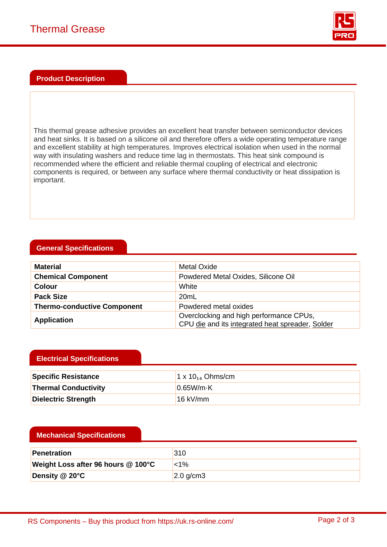

### **Product Description**

This thermal grease adhesive provides an excellent heat transfer between semiconductor devices and heat sinks. It is based on a silicone oil and therefore offers a wide operating temperature range and excellent stability at high temperatures. Improves electrical isolation when used in the normal way with insulating washers and reduce time lag in thermostats. This heat sink compound is recommended where the efficient and reliable thermal coupling of electrical and electronic components is required, or between any surface where thermal conductivity or heat dissipation is important.

## **General Specifications**

| <b>Material</b>                    | Metal Oxide                                                                                 |  |
|------------------------------------|---------------------------------------------------------------------------------------------|--|
| <b>Chemical Component</b>          | Powdered Metal Oxides, Silicone Oil                                                         |  |
| <b>Colour</b>                      | White                                                                                       |  |
| <b>Pack Size</b>                   | 20 <sub>mL</sub>                                                                            |  |
| <b>Thermo-conductive Component</b> | Powdered metal oxides                                                                       |  |
| <b>Application</b>                 | Overclocking and high performance CPUs,<br>CPU die and its integrated heat spreader, Solder |  |

## **Electrical Specifications**

| <b>Specific Resistance</b>  | 1 x $10_{14}$ Ohms/cm |
|-----------------------------|-----------------------|
| <b>Thermal Conductivity</b> | 0.65W/m·K             |
| Dielectric Strength         | $16$ kV/mm            |

#### **Mechanical Specifications**

| <b>Penetration</b>                 | 310               |
|------------------------------------|-------------------|
| Weight Loss after 96 hours @ 100°C | $1\%$             |
| Density @ 20°C                     | $\vert$ 2.0 g/cm3 |